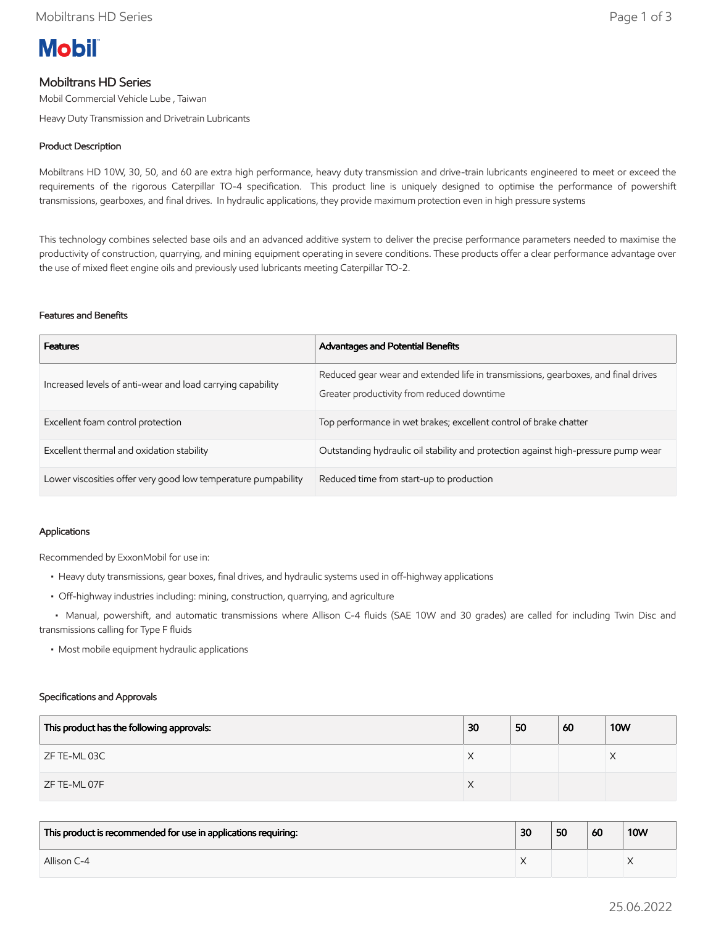# **Mobil**

# Mobiltrans HD Series

Mobil Commercial Vehicle Lube , Taiwan

Heavy Duty Transmission and Drivetrain Lubricants

# Product Description

Mobiltrans HD 10W, 30, 50, and 60 are extra high performance, heavy duty transmission and drive-train lubricants engineered to meet or exceed the requirements of the rigorous Caterpillar TO-4 specification. This product line is uniquely designed to optimise the performance of powershift transmissions, gearboxes, and final drives. In hydraulic applications, they provide maximum protection even in high pressure systems

This technology combines selected base oils and an advanced additive system to deliver the precise performance parameters needed to maximise the productivity of construction, quarrying, and mining equipment operating in severe conditions. These products offer a clear performance advantage over the use of mixed fleet engine oils and previously used lubricants meeting Caterpillar TO-2.

## Features and Benefits

| <b>Features</b>                                               | <b>Advantages and Potential Benefits</b>                                                                                        |
|---------------------------------------------------------------|---------------------------------------------------------------------------------------------------------------------------------|
| Increased levels of anti-wear and load carrying capability    | Reduced gear wear and extended life in transmissions, gearboxes, and final drives<br>Greater productivity from reduced downtime |
| Excellent foam control protection                             | Top performance in wet brakes; excellent control of brake chatter                                                               |
| Excellent thermal and oxidation stability                     | Outstanding hydraulic oil stability and protection against high-pressure pump wear                                              |
| Lower viscosities offer very good low temperature pumpability | Reduced time from start-up to production                                                                                        |

## Applications

Recommended by ExxonMobil for use in:

- Heavy duty transmissions, gear boxes, final drives, and hydraulic systems used in off-highway applications
- Off-highway industries including: mining, construction, quarrying, and agriculture

 • Manual, powershift, and automatic transmissions where Allison C-4 fluids (SAE 10W and 30 grades) are called for including Twin Disc and transmissions calling for Type F fluids

• Most mobile equipment hydraulic applications

#### Specifications and Approvals

| This product has the following approvals: | 30 | 50 | 60 | <b>10W</b> |
|-------------------------------------------|----|----|----|------------|
| ZF TE-ML 03C                              | X  |    |    |            |
| ZF TE-ML 07F                              | Χ  |    |    |            |

| This product is recommended for use in applications requiring: | 30 | 50 | 60 | <b>10W</b> |
|----------------------------------------------------------------|----|----|----|------------|
| Allison C-4                                                    |    |    |    |            |